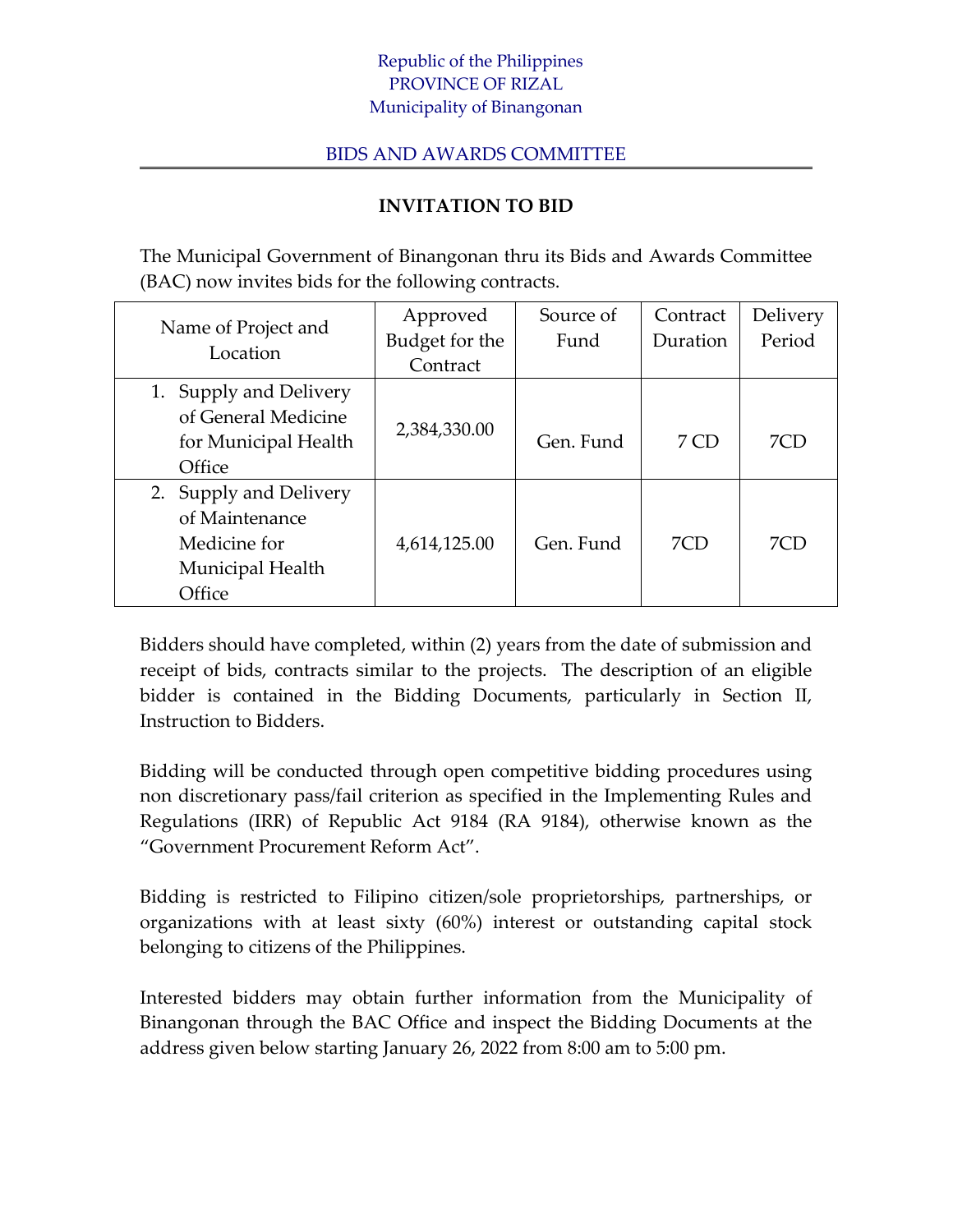## Republic of the Philippines PROVINCE OF RIZAL Municipality of Binangonan

## BIDS AND AWARDS COMMITTEE

## **INVITATION TO BID**

The Municipal Government of Binangonan thru its Bids and Awards Committee (BAC) now invites bids for the following contracts.

| Name of Project and<br>Location | Approved       | Source of | Contract | Delivery |
|---------------------------------|----------------|-----------|----------|----------|
|                                 | Budget for the | Fund      | Duration | Period   |
|                                 | Contract       |           |          |          |
| 1. Supply and Delivery          |                |           |          |          |
| of General Medicine             |                |           |          |          |
| for Municipal Health            | 2,384,330.00   | Gen. Fund | 7 CD     | 7CD      |
| Office                          |                |           |          |          |
| 2. Supply and Delivery          |                |           |          |          |
| of Maintenance                  |                |           |          |          |
| Medicine for                    | 4,614,125.00   | Gen. Fund | 7CD      | 7CD      |
| Municipal Health                |                |           |          |          |
| Office                          |                |           |          |          |

Bidders should have completed, within (2) years from the date of submission and receipt of bids, contracts similar to the projects. The description of an eligible bidder is contained in the Bidding Documents, particularly in Section II, Instruction to Bidders.

Bidding will be conducted through open competitive bidding procedures using non discretionary pass/fail criterion as specified in the Implementing Rules and Regulations (IRR) of Republic Act 9184 (RA 9184), otherwise known as the "Government Procurement Reform Act".

Bidding is restricted to Filipino citizen/sole proprietorships, partnerships, or organizations with at least sixty (60%) interest or outstanding capital stock belonging to citizens of the Philippines.

Interested bidders may obtain further information from the Municipality of Binangonan through the BAC Office and inspect the Bidding Documents at the address given below starting January 26, 2022 from 8:00 am to 5:00 pm.